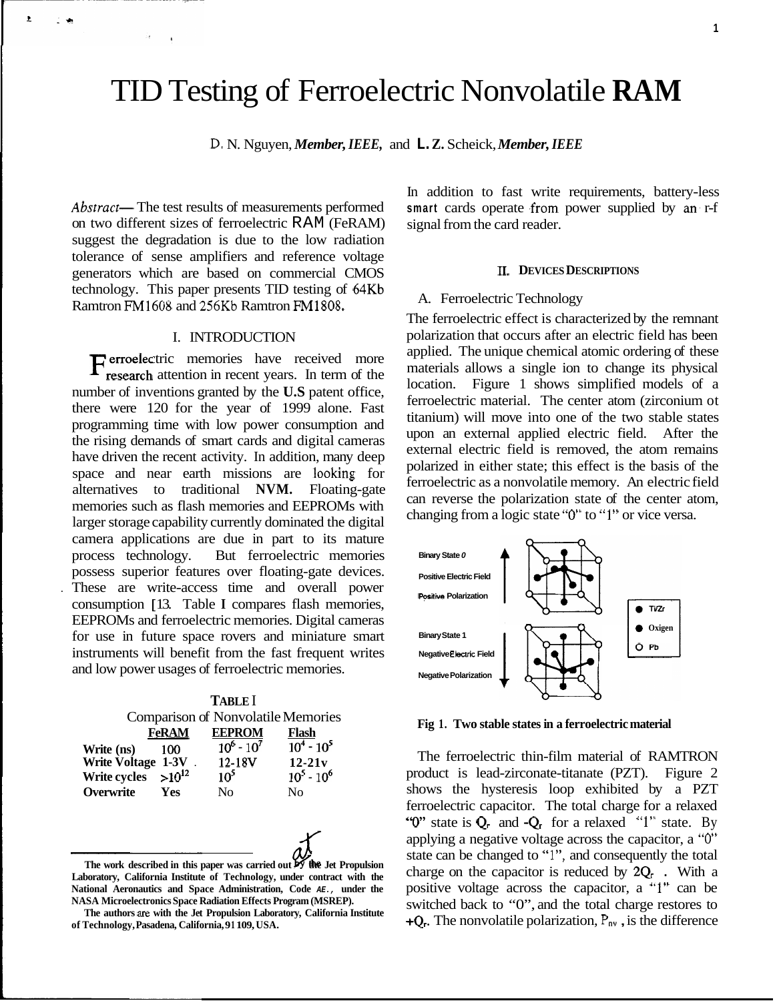# TID Testing of Ferroelectric Nonvolatile **RAM**

D. N. Nguyen, *Member, IEEE,* and **L. Z.** Scheick, *Member, IEEE* 

Abstract- The test results of measurements performed on two different sizes of ferroelectric RAM (FeRAM) suggest the degradation is due to the low radiation tolerance of sense amplifiers and reference voltage generators which are based on commercial CMOS technology. This paper presents TID testing of 64Kb Ramtron FM1608 and 256Kb Ramtron FM1808.

×

# I. INTRODUCTION

Ferroelectric memories have received more research attention in recent years. In term of the number of inventions granted by the **U.S** patent office, there were 120 for the year of 1999 alone. Fast programming time with low power consumption and the rising demands of smart cards and digital cameras have driven the recent activity. In addition, many deep space and near earth missions are looking for alternatives to traditional **NVM.** Floating-gate memories such as flash memories and EEPROMs with larger storage capability currently dominated the digital camera applications are due in part to its mature process technology. But ferroelectric memories possess superior features over floating-gate devices. . These are write-access time and overall power consumption [ 13. Table **I** compares flash memories, EEPROMs and ferroelectric memories. Digital cameras for use in future space rovers and miniature smart instruments will benefit from the fast frequent writes and low power usages of ferroelectric memories.

| <b>TABLE</b> I                            |              |               |                            |
|-------------------------------------------|--------------|---------------|----------------------------|
| <b>Comparison of Nonvolatile Memories</b> |              |               |                            |
|                                           | <b>FeRAM</b> | <b>EEPROM</b> | Flash                      |
| Write (ns)                                | 100          | $10^6 - 10^7$ | $\overline{10^4}$ - $10^5$ |
| Write Voltage 1-3V.                       |              | 12-18V        | $12 - 21v$                 |
| Write cycles                              | $>10^{12}$   | $10^5$        | $10^5 - 10^6$              |
| Overwrite                                 | <b>Yes</b>   | Nο            | Nο                         |

**The work described in this paper was carried out** *6* **the Jet Propulsion Laboratory, California Institute of Technology, under contract with the National Aeronautics and Space Administration, Code** *AE.,* **under the NASA Microelectronics Space Radiation Effects Program (MSREP).** 

In addition to fast write requirements, battery-less smart cards operate from power supplied by an r-f signal from the card reader.

## **11. DEVICES DESCRIPTIONS**

#### A. Ferroelectric Technology

The ferroelectric effect is characterized by the remnant polarization that occurs after an electric field has been applied. The unique chemical atomic ordering of these materials allows a single ion to change its physical location. Figure 1 shows simplified models of a ferroelectric material. The center atom (zirconium ot titanium) will move into one of the two stable states upon an external applied electric field. After the external electric field is removed, the atom remains polarized in either state; this effect is the basis of the ferroelectric as a nonvolatile memory. An electric field can reverse the polarization state of the center atom, changing from a logic state *"0"* to **"1"** or vice versa.



**Fig 1. Two stable states in a ferroelectric material** 

The ferroelectric thin-film material of RAMTRON product is lead-zirconate-titanate (PZT). [Figure 2](#page-1-0) shows the hysteresis loop exhibited by a PZT ferroelectric capacitor. The total charge for a relaxed *"0"* state is **Qr** and **-Qr** for a relaxed "I" state. By applying a negative voltage across the capacitor, a *"0"*  state can be changed to "l", and consequently the total charge on the capacitor is reduced by  $2Q_r$ . With a positive voltage across the capacitor, a "1" can be switched back to "0", and the total charge restores to **+Qr.** The nonvolatile polarization, **Pnv** , is the difference

**The authors are with the Jet Propulsion Laboratory, California Institute of Technology, Pasadena, California, 9 1 109, USA.**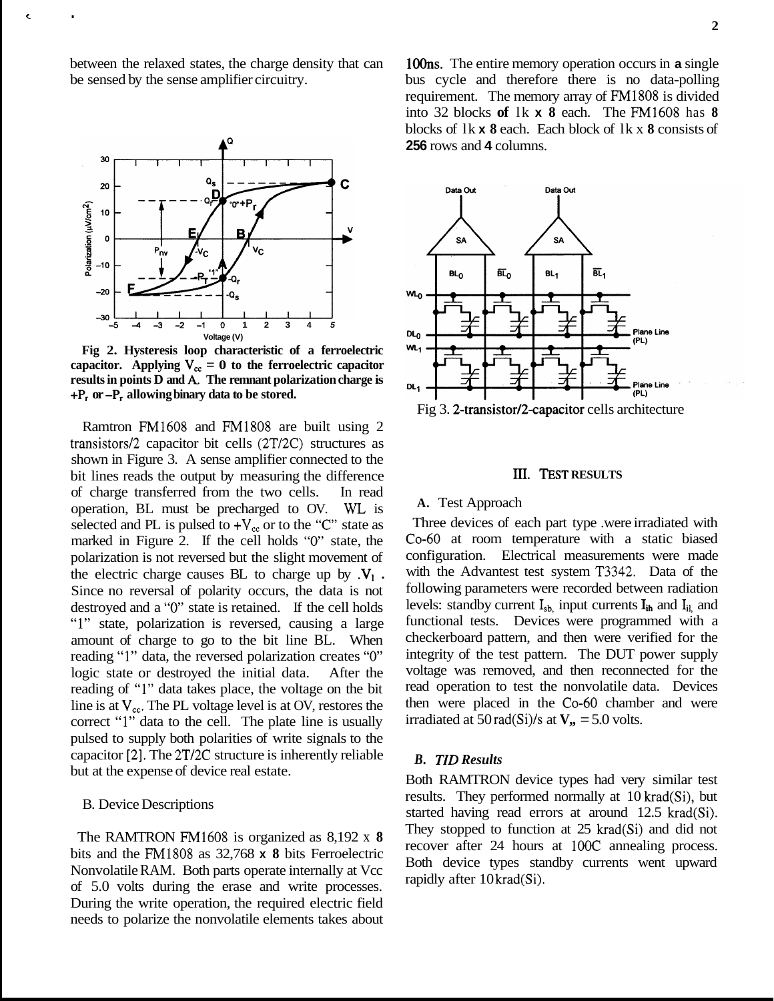<span id="page-1-0"></span>between the relaxed states, the charge density that can be sensed by the sense amplifier circuitry.



**Fig 2. Hysteresis loop characteristic of a ferroelectric**  capacitor. Applying  $V_{cc} = 0$  to the ferroelectric capacitor **results in points D and A.. The remnant polarization charge is +P, or -P, allowing binary data to be stored.** 

Ramtron FM1608 and FM1808 are built using 2 transistors/2 capacitor bit cells (2T/2C) structures as shown in Figure 3. A sense amplifier connected to the bit lines reads the output by measuring the difference of charge transferred from the two cells. In read operation, BL must be precharged to OV. WL is selected and PL is pulsed to  $+V_{cc}$  or to the "C" state as marked in Figure 2. If the cell holds *"0"* state, the polarization is not reversed but the slight movement of the electric charge causes BL to charge up by  $\mathbf{V}_1$ . Since no reversal of polarity occurs, the data is not destroyed and a *"0"* state is retained. If the cell holds "1" state, polarization is reversed, causing a large amount of charge to go to the bit line BL. When reading "1" data, the reversed polarization creates *"0"*  logic state or destroyed the initial data. After the reading of "1" data takes place, the voltage on the bit line is at  $V_{cc}$ . The PL voltage level is at OV, restores the correct "1" data to the cell. The plate line is usually pulsed to supply both polarities of write signals to the capacitor **[2].** The 2T/2C structure is inherently reliable but at the expense of device real estate.

#### B. Device Descriptions

The RAMTRON FM1608 is organized as 8,192 x **8**  bits and the FM1808 as 32,768 **x 8** bits Ferroelectric Nonvolatile RAM. Both parts operate internally at Vcc of 5.0 volts during the erase and write processes. During the write operation, the required electric field needs to polarize the nonvolatile elements takes about 100ns. The entire memory operation occurs in **a** single bus cycle and therefore there is no data-polling requirement. The memory array of FM1808 is divided into 32 blocks **of** lk **x 8** each. The FM1608 has **8**  blocks of lk **x 8** each. Each block of lk x **8** consists of **256** rows and **4** columns.



Fig 3. **2-transistor/2-capacitor** cells architecture

## **m. TEST RESULTS**

# **A.** Test Approach

Three devices of each part type .were irradiated with CO-60 at room temperature with a static biased configuration. Electrical measurements were made with the Advantest test system T3342. Data of the following parameters were recorded between radiation levels: standby current  $I_{sb}$ , input currents  $I_{ih}$  and  $I_{il}$ , and functional tests. Devices were programmed with a checkerboard pattern, and then were verified for the integrity of the test pattern. The DUT power supply voltage was removed, and then reconnected for the read operation to test the nonvolatile data. Devices then were placed in the CO-60 chamber and were irradiated at  $50 \text{ rad}(Si)/s$  at  $V_{\text{B}} = 5.0$  volts.

# *B. TID Results*

Both RAMTRON device types had very similar test results. They performed normally at 10 krad(Si), but started having read errors at around 12.5 krad(Si). They stopped to function at 25 krad(Si) and did not recover after 24 hours at 100C annealing process. Both device types standby currents went upward rapidly after 10 krad(Si).